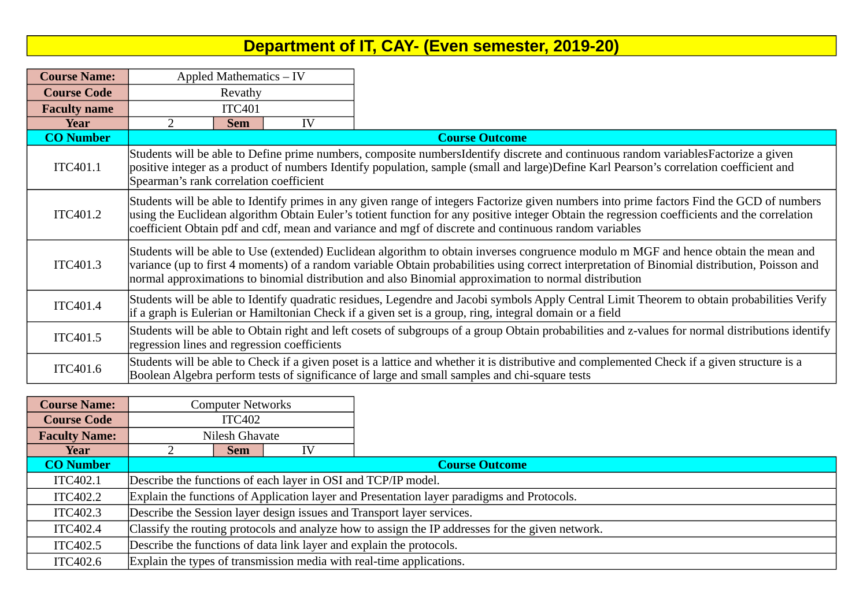## **Department of IT, CAY- (Even semester, 2019-20)**

| <b>Course Name:</b> | Appled Mathematics - IV |                                                                                                                                                                                                                                                                                                                                                                                                      |    |                                                                                                                                                                                                                                               |  |  |  |  |  |
|---------------------|-------------------------|------------------------------------------------------------------------------------------------------------------------------------------------------------------------------------------------------------------------------------------------------------------------------------------------------------------------------------------------------------------------------------------------------|----|-----------------------------------------------------------------------------------------------------------------------------------------------------------------------------------------------------------------------------------------------|--|--|--|--|--|
| <b>Course Code</b>  | Revathy                 |                                                                                                                                                                                                                                                                                                                                                                                                      |    |                                                                                                                                                                                                                                               |  |  |  |  |  |
| <b>Faculty name</b> |                         | <b>ITC401</b>                                                                                                                                                                                                                                                                                                                                                                                        |    |                                                                                                                                                                                                                                               |  |  |  |  |  |
| Year                | 2                       | <b>Sem</b>                                                                                                                                                                                                                                                                                                                                                                                           | IV |                                                                                                                                                                                                                                               |  |  |  |  |  |
| <b>CO Number</b>    |                         |                                                                                                                                                                                                                                                                                                                                                                                                      |    | <b>Course Outcome</b>                                                                                                                                                                                                                         |  |  |  |  |  |
| ITC401.1            |                         | Students will be able to Define prime numbers, composite numbersIdentify discrete and continuous random variablesFactorize a given<br>positive integer as a product of numbers Identify population, sample (small and large)Define Karl Pearson's correlation coefficient and<br>Spearman's rank correlation coefficient                                                                             |    |                                                                                                                                                                                                                                               |  |  |  |  |  |
| ITC401.2            |                         | Students will be able to Identify primes in any given range of integers Factorize given numbers into prime factors Find the GCD of numbers<br>using the Euclidean algorithm Obtain Euler's totient function for any positive integer Obtain the regression coefficients and the correlation<br>coefficient Obtain pdf and cdf, mean and variance and mgf of discrete and continuous random variables |    |                                                                                                                                                                                                                                               |  |  |  |  |  |
| ITC401.3            |                         | Students will be able to Use (extended) Euclidean algorithm to obtain inverses congruence modulo m MGF and hence obtain the mean and<br>variance (up to first 4 moments) of a random variable Obtain probabilities using correct interpretation of Binomial distribution, Poisson and<br>normal approximations to binomial distribution and also Binomial approximation to normal distribution       |    |                                                                                                                                                                                                                                               |  |  |  |  |  |
| ITC401.4            |                         | Students will be able to Identify quadratic residues, Legendre and Jacobi symbols Apply Central Limit Theorem to obtain probabilities Verify<br>if a graph is Eulerian or Hamiltonian Check if a given set is a group, ring, integral domain or a field                                                                                                                                              |    |                                                                                                                                                                                                                                               |  |  |  |  |  |
| ITC401.5            |                         | Students will be able to Obtain right and left cosets of subgroups of a group Obtain probabilities and z-values for normal distributions identify<br>regression lines and regression coefficients                                                                                                                                                                                                    |    |                                                                                                                                                                                                                                               |  |  |  |  |  |
| ITC401.6            |                         |                                                                                                                                                                                                                                                                                                                                                                                                      |    | Students will be able to Check if a given poset is a lattice and whether it is distributive and complemented Check if a given structure is a<br>Boolean Algebra perform tests of significance of large and small samples and chi-square tests |  |  |  |  |  |

| <b>Course Name:</b>  |                                                                                                  | <b>Computer Networks</b> |    |                                                                                            |  |  |
|----------------------|--------------------------------------------------------------------------------------------------|--------------------------|----|--------------------------------------------------------------------------------------------|--|--|
| <b>Course Code</b>   |                                                                                                  | <b>ITC402</b>            |    |                                                                                            |  |  |
| <b>Faculty Name:</b> |                                                                                                  | Nilesh Ghavate           |    |                                                                                            |  |  |
| Year                 |                                                                                                  | <b>Sem</b>               | ΙV |                                                                                            |  |  |
| <b>CO Number</b>     |                                                                                                  |                          |    | <b>Course Outcome</b>                                                                      |  |  |
| ITC402.1             |                                                                                                  |                          |    | Describe the functions of each layer in OSI and TCP/IP model.                              |  |  |
| ITC402.2             |                                                                                                  |                          |    | Explain the functions of Application layer and Presentation layer paradigms and Protocols. |  |  |
| ITC402.3             | Describe the Session layer design issues and Transport layer services.                           |                          |    |                                                                                            |  |  |
| ITC402.4             | Classify the routing protocols and analyze how to assign the IP addresses for the given network. |                          |    |                                                                                            |  |  |
| ITC402.5             | Describe the functions of data link layer and explain the protocols.                             |                          |    |                                                                                            |  |  |
| ITC402.6             |                                                                                                  |                          |    | Explain the types of transmission media with real-time applications.                       |  |  |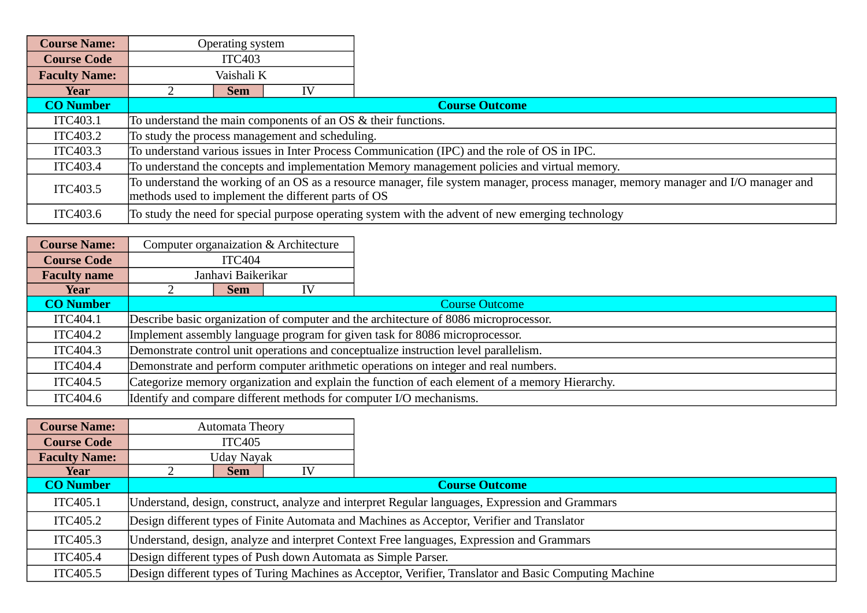| <b>Course Name:</b>  |                                                                                                                                                                                           | Operating system |                                                 |                                                                                                   |  |  |
|----------------------|-------------------------------------------------------------------------------------------------------------------------------------------------------------------------------------------|------------------|-------------------------------------------------|---------------------------------------------------------------------------------------------------|--|--|
| <b>Course Code</b>   |                                                                                                                                                                                           | <b>ITC403</b>    |                                                 |                                                                                                   |  |  |
| <b>Faculty Name:</b> |                                                                                                                                                                                           | Vaishali K       |                                                 |                                                                                                   |  |  |
| Year                 |                                                                                                                                                                                           | <b>Sem</b>       | ΙV                                              |                                                                                                   |  |  |
| <b>CO Number</b>     |                                                                                                                                                                                           |                  |                                                 | <b>Course Outcome</b>                                                                             |  |  |
| ITC403.1             |                                                                                                                                                                                           |                  |                                                 | To understand the main components of an OS & their functions.                                     |  |  |
| ITC403.2             |                                                                                                                                                                                           |                  | To study the process management and scheduling. |                                                                                                   |  |  |
| ITC403.3             |                                                                                                                                                                                           |                  |                                                 | To understand various issues in Inter Process Communication (IPC) and the role of OS in IPC.      |  |  |
| ITC403.4             | To understand the concepts and implementation Memory management policies and virtual memory.                                                                                              |                  |                                                 |                                                                                                   |  |  |
| ITC403.5             | To understand the working of an OS as a resource manager, file system manager, process manager, memory manager and I/O manager and<br>methods used to implement the different parts of OS |                  |                                                 |                                                                                                   |  |  |
| ITC403.6             |                                                                                                                                                                                           |                  |                                                 | To study the need for special purpose operating system with the advent of new emerging technology |  |  |

| <b>Course Name:</b> |                                                                                                |                    | Computer organaization & Architecture |                                                                                      |  |  |  |
|---------------------|------------------------------------------------------------------------------------------------|--------------------|---------------------------------------|--------------------------------------------------------------------------------------|--|--|--|
| <b>Course Code</b>  |                                                                                                | ITC404             |                                       |                                                                                      |  |  |  |
| <b>Faculty name</b> |                                                                                                | Janhavi Baikerikar |                                       |                                                                                      |  |  |  |
| Year                |                                                                                                | <b>Sem</b>         | IV                                    |                                                                                      |  |  |  |
| <b>CO Number</b>    |                                                                                                |                    |                                       | <b>Course Outcome</b>                                                                |  |  |  |
| ITC404.1            |                                                                                                |                    |                                       | Describe basic organization of computer and the architecture of 8086 microprocessor. |  |  |  |
| ITC404.2            |                                                                                                |                    |                                       | Implement assembly language program for given task for 8086 microprocessor.          |  |  |  |
| ITC404.3            | Demonstrate control unit operations and conceptualize instruction level parallelism.           |                    |                                       |                                                                                      |  |  |  |
| ITC404.4            | Demonstrate and perform computer arithmetic operations on integer and real numbers.            |                    |                                       |                                                                                      |  |  |  |
| ITC404.5            | Categorize memory organization and explain the function of each element of a memory Hierarchy. |                    |                                       |                                                                                      |  |  |  |
| ITC404.6            |                                                                                                |                    |                                       | Identify and compare different methods for computer I/O mechanisms.                  |  |  |  |

**–** 

| <b>Course Name:</b>  |                                                                | Automata Theory                                                                             |  |                                                                                                         |  |  |  |  |  |
|----------------------|----------------------------------------------------------------|---------------------------------------------------------------------------------------------|--|---------------------------------------------------------------------------------------------------------|--|--|--|--|--|
| <b>Course Code</b>   |                                                                | <b>ITC405</b>                                                                               |  |                                                                                                         |  |  |  |  |  |
| <b>Faculty Name:</b> |                                                                | Uday Nayak                                                                                  |  |                                                                                                         |  |  |  |  |  |
| Year                 |                                                                | Sem                                                                                         |  |                                                                                                         |  |  |  |  |  |
| <b>CO Number</b>     |                                                                |                                                                                             |  | <b>Course Outcome</b>                                                                                   |  |  |  |  |  |
| ITC405.1             |                                                                |                                                                                             |  | Understand, design, construct, analyze and interpret Regular languages, Expression and Grammars         |  |  |  |  |  |
| ITC405.2             |                                                                | Design different types of Finite Automata and Machines as Acceptor, Verifier and Translator |  |                                                                                                         |  |  |  |  |  |
| ITC405.3             |                                                                | Understand, design, analyze and interpret Context Free languages, Expression and Grammars   |  |                                                                                                         |  |  |  |  |  |
| <b>ITC405.4</b>      | Design different types of Push down Automata as Simple Parser. |                                                                                             |  |                                                                                                         |  |  |  |  |  |
| ITC405.5             |                                                                |                                                                                             |  | Design different types of Turing Machines as Acceptor, Verifier, Translator and Basic Computing Machine |  |  |  |  |  |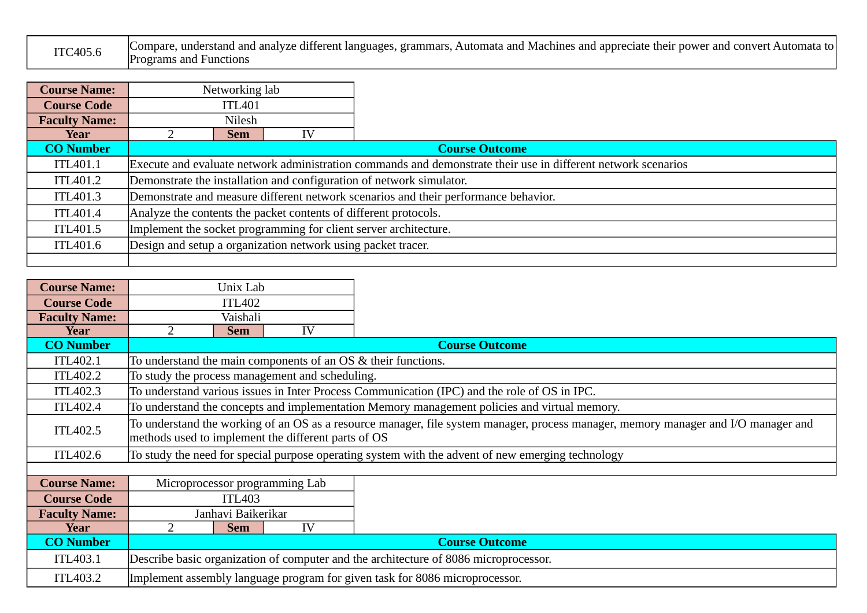| ITC405.6 | Compare, understand and analyze different languages, grammars, Automata and Machines and appreciate their power and convert Automata to' |
|----------|------------------------------------------------------------------------------------------------------------------------------------------|
|          | <b>Programs and Functions</b>                                                                                                            |

| <b>Course Name:</b>  |                                                                  | Networking lab |                                                              |                                                                                                               |  |
|----------------------|------------------------------------------------------------------|----------------|--------------------------------------------------------------|---------------------------------------------------------------------------------------------------------------|--|
| <b>Course Code</b>   | ITL401                                                           |                |                                                              |                                                                                                               |  |
| <b>Faculty Name:</b> | Nilesh                                                           |                |                                                              |                                                                                                               |  |
| Year                 |                                                                  | <b>Sem</b>     | ŢУ                                                           |                                                                                                               |  |
| <b>CO Number</b>     |                                                                  |                |                                                              | <b>Course Outcome</b>                                                                                         |  |
| <b>ITL401.1</b>      |                                                                  |                |                                                              | Execute and evaluate network administration commands and demonstrate their use in different network scenarios |  |
| ITL401.2             |                                                                  |                |                                                              | Demonstrate the installation and configuration of network simulator.                                          |  |
| ITL401.3             |                                                                  |                |                                                              | Demonstrate and measure different network scenarios and their performance behavior.                           |  |
| ITL401.4             | Analyze the contents the packet contents of different protocols. |                |                                                              |                                                                                                               |  |
| ITL401.5             | Implement the socket programming for client server architecture. |                |                                                              |                                                                                                               |  |
| ITL401.6             |                                                                  |                | Design and setup a organization network using packet tracer. |                                                                                                               |  |
|                      |                                                                  |                |                                                              |                                                                                                               |  |

| <b>Course Name:</b>  |                                    | Unix Lab           |                                                     |                                                                                                                                    |
|----------------------|------------------------------------|--------------------|-----------------------------------------------------|------------------------------------------------------------------------------------------------------------------------------------|
| <b>Course Code</b>   |                                    | <b>ITL402</b>      |                                                     |                                                                                                                                    |
| <b>Faculty Name:</b> |                                    | Vaishali           |                                                     |                                                                                                                                    |
| Year                 |                                    | <b>Sem</b>         | IV                                                  |                                                                                                                                    |
| <b>CO Number</b>     |                                    |                    |                                                     | <b>Course Outcome</b>                                                                                                              |
| ITL402.1             |                                    |                    |                                                     | To understand the main components of an OS & their functions.                                                                      |
| ITL402.2             |                                    |                    | To study the process management and scheduling.     |                                                                                                                                    |
| ITL402.3             |                                    |                    |                                                     | To understand various issues in Inter Process Communication (IPC) and the role of OS in IPC.                                       |
| ITL402.4             |                                    |                    |                                                     | To understand the concepts and implementation Memory management policies and virtual memory.                                       |
| ITL402.5             |                                    |                    | methods used to implement the different parts of OS | To understand the working of an OS as a resource manager, file system manager, process manager, memory manager and I/O manager and |
| ITL402.6             |                                    |                    |                                                     | To study the need for special purpose operating system with the advent of new emerging technology                                  |
|                      |                                    |                    |                                                     |                                                                                                                                    |
| <b>Course Name:</b>  |                                    |                    | Microprocessor programming Lab                      |                                                                                                                                    |
| <b>Course Code</b>   |                                    | <b>ITL403</b>      |                                                     |                                                                                                                                    |
| <b>Faculty Name:</b> |                                    | Janhavi Baikerikar |                                                     |                                                                                                                                    |
| <b>Year</b>          | IV<br>$\overline{2}$<br><b>Sem</b> |                    |                                                     |                                                                                                                                    |
| <b>CO Number</b>     |                                    |                    |                                                     | <b>Course Outcome</b>                                                                                                              |
| ITL403.1             |                                    |                    |                                                     | Describe basic organization of computer and the architecture of 8086 microprocessor.                                               |
| ITL403.2             |                                    |                    |                                                     | Implement assembly language program for given task for 8086 microprocessor.                                                        |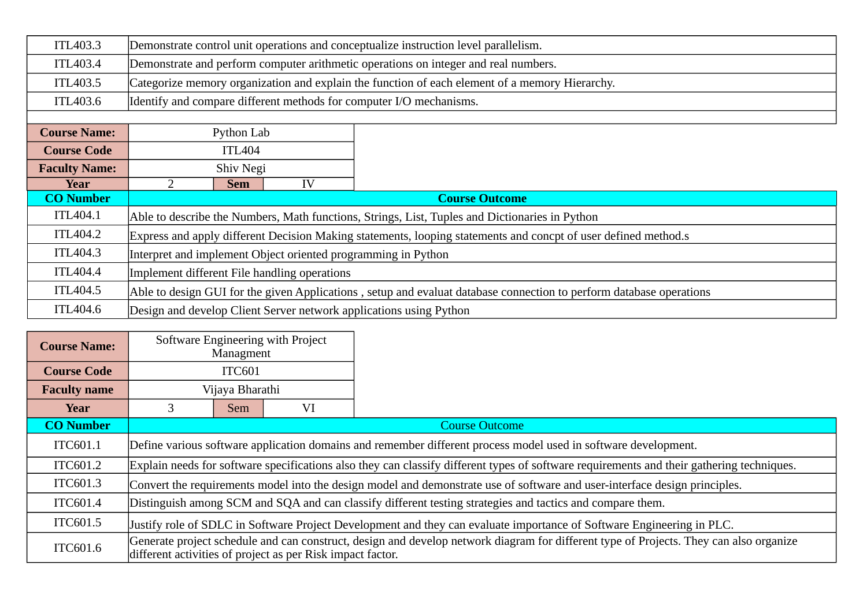| ITL403.3             | Demonstrate control unit operations and conceptualize instruction level parallelism.                                |  |  |  |  |  |
|----------------------|---------------------------------------------------------------------------------------------------------------------|--|--|--|--|--|
| ITL403.4             | Demonstrate and perform computer arithmetic operations on integer and real numbers.                                 |  |  |  |  |  |
| ITL403.5             | Categorize memory organization and explain the function of each element of a memory Hierarchy.                      |  |  |  |  |  |
| ITL403.6             | Identify and compare different methods for computer I/O mechanisms.                                                 |  |  |  |  |  |
|                      |                                                                                                                     |  |  |  |  |  |
| <b>Course Name:</b>  | Python Lab                                                                                                          |  |  |  |  |  |
| <b>Course Code</b>   | <b>ITL404</b>                                                                                                       |  |  |  |  |  |
| <b>Faculty Name:</b> | Shiv Negi                                                                                                           |  |  |  |  |  |
| Year                 | IV<br><b>Sem</b>                                                                                                    |  |  |  |  |  |
| <b>CO Number</b>     | <b>Course Outcome</b>                                                                                               |  |  |  |  |  |
| ITL404.1             | Able to describe the Numbers, Math functions, Strings, List, Tuples and Dictionaries in Python                      |  |  |  |  |  |
| ITL404.2             | Express and apply different Decision Making statements, looping statements and concpt of user defined method.s      |  |  |  |  |  |
| ITL404.3             | Interpret and implement Object oriented programming in Python                                                       |  |  |  |  |  |
| ITL404.4             | Implement different File handling operations                                                                        |  |  |  |  |  |
| ITL404.5             | Able to design GUI for the given Applications, setup and evaluat database connection to perform database operations |  |  |  |  |  |
| ITL404.6             | Design and develop Client Server network applications using Python                                                  |  |  |  |  |  |

| <b>Course Name:</b> |                                                                                                                       | Managment                                                                                                                  | Software Engineering with Project                          |                                                                                                                                           |  |  |  |  |
|---------------------|-----------------------------------------------------------------------------------------------------------------------|----------------------------------------------------------------------------------------------------------------------------|------------------------------------------------------------|-------------------------------------------------------------------------------------------------------------------------------------------|--|--|--|--|
| <b>Course Code</b>  |                                                                                                                       | ITC601                                                                                                                     |                                                            |                                                                                                                                           |  |  |  |  |
| <b>Faculty name</b> |                                                                                                                       | Vijaya Bharathi                                                                                                            |                                                            |                                                                                                                                           |  |  |  |  |
| Year                |                                                                                                                       | Sem                                                                                                                        | VI                                                         |                                                                                                                                           |  |  |  |  |
| <b>CO Number</b>    |                                                                                                                       |                                                                                                                            |                                                            | <b>Course Outcome</b>                                                                                                                     |  |  |  |  |
| ITC601.1            |                                                                                                                       | Define various software application domains and remember different process model used in software development.             |                                                            |                                                                                                                                           |  |  |  |  |
| ITC601.2            |                                                                                                                       |                                                                                                                            |                                                            | Explain needs for software specifications also they can classify different types of software requirements and their gathering techniques. |  |  |  |  |
| ITC601.3            |                                                                                                                       | Convert the requirements model into the design model and demonstrate use of software and user-interface design principles. |                                                            |                                                                                                                                           |  |  |  |  |
| ITC601.4            |                                                                                                                       | Distinguish among SCM and SQA and can classify different testing strategies and tactics and compare them.                  |                                                            |                                                                                                                                           |  |  |  |  |
| ITC601.5            | Justify role of SDLC in Software Project Development and they can evaluate importance of Software Engineering in PLC. |                                                                                                                            |                                                            |                                                                                                                                           |  |  |  |  |
| ITC601.6            |                                                                                                                       |                                                                                                                            | different activities of project as per Risk impact factor. | Generate project schedule and can construct, design and develop network diagram for different type of Projects. They can also organize    |  |  |  |  |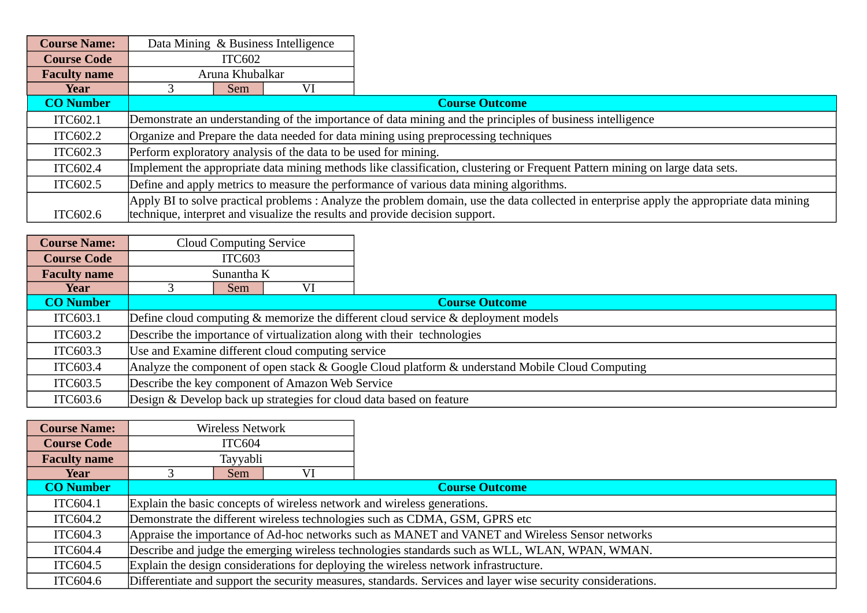| <b>Course Name:</b> |                                                                                                                                           |                                                                                                           | Data Mining & Business Intelligence |                                                                              |  |  |
|---------------------|-------------------------------------------------------------------------------------------------------------------------------------------|-----------------------------------------------------------------------------------------------------------|-------------------------------------|------------------------------------------------------------------------------|--|--|
| <b>Course Code</b>  |                                                                                                                                           | <b>ITC602</b>                                                                                             |                                     |                                                                              |  |  |
| <b>Faculty name</b> | Aruna Khubalkar                                                                                                                           |                                                                                                           |                                     |                                                                              |  |  |
| Year                |                                                                                                                                           | <b>Sem</b>                                                                                                | VI                                  |                                                                              |  |  |
| <b>CO Number</b>    |                                                                                                                                           |                                                                                                           |                                     | <b>Course Outcome</b>                                                        |  |  |
| ITC602.1            |                                                                                                                                           | Demonstrate an understanding of the importance of data mining and the principles of business intelligence |                                     |                                                                              |  |  |
| ITC602.2            | Organize and Prepare the data needed for data mining using preprocessing techniques                                                       |                                                                                                           |                                     |                                                                              |  |  |
| ITC602.3            | Perform exploratory analysis of the data to be used for mining.                                                                           |                                                                                                           |                                     |                                                                              |  |  |
| ITC602.4            | Implement the appropriate data mining methods like classification, clustering or Frequent Pattern mining on large data sets.              |                                                                                                           |                                     |                                                                              |  |  |
| ITC602.5            | Define and apply metrics to measure the performance of various data mining algorithms.                                                    |                                                                                                           |                                     |                                                                              |  |  |
|                     | Apply BI to solve practical problems : Analyze the problem domain, use the data collected in enterprise apply the appropriate data mining |                                                                                                           |                                     |                                                                              |  |  |
| ITC602.6            |                                                                                                                                           |                                                                                                           |                                     | technique, interpret and visualize the results and provide decision support. |  |  |

| <b>Course Name:</b> |                                                                                                 | <b>Cloud Computing Service</b>                    |    |                                                                                   |  |  |  |  |  |
|---------------------|-------------------------------------------------------------------------------------------------|---------------------------------------------------|----|-----------------------------------------------------------------------------------|--|--|--|--|--|
| <b>Course Code</b>  |                                                                                                 | <b>ITC603</b>                                     |    |                                                                                   |  |  |  |  |  |
| <b>Faculty name</b> |                                                                                                 | Sunantha K                                        |    |                                                                                   |  |  |  |  |  |
| Year                |                                                                                                 | Sem                                               | VI |                                                                                   |  |  |  |  |  |
| <b>CO Number</b>    |                                                                                                 |                                                   |    | <b>Course Outcome</b>                                                             |  |  |  |  |  |
| ITC603.1            |                                                                                                 |                                                   |    | Define cloud computing & memorize the different cloud service & deployment models |  |  |  |  |  |
| ITC603.2            | Describe the importance of virtualization along with their technologies                         |                                                   |    |                                                                                   |  |  |  |  |  |
| <b>ITC603.3</b>     |                                                                                                 | Use and Examine different cloud computing service |    |                                                                                   |  |  |  |  |  |
| ITC603.4            | Analyze the component of open stack & Google Cloud platform & understand Mobile Cloud Computing |                                                   |    |                                                                                   |  |  |  |  |  |
| ITC603.5            |                                                                                                 | Describe the key component of Amazon Web Service  |    |                                                                                   |  |  |  |  |  |
| ITC603.6            |                                                                                                 |                                                   |    | Design & Develop back up strategies for cloud data based on feature               |  |  |  |  |  |

| <b>Course Name:</b> |        | <b>Wireless Network</b>                                                                         |    |                                                                                                              |  |  |  |  |
|---------------------|--------|-------------------------------------------------------------------------------------------------|----|--------------------------------------------------------------------------------------------------------------|--|--|--|--|
| <b>Course Code</b>  | ITC604 |                                                                                                 |    |                                                                                                              |  |  |  |  |
| <b>Faculty name</b> |        | Tayyabli                                                                                        |    |                                                                                                              |  |  |  |  |
| Year                |        | Sem                                                                                             | VI |                                                                                                              |  |  |  |  |
| <b>CO Number</b>    |        |                                                                                                 |    | <b>Course Outcome</b>                                                                                        |  |  |  |  |
| ITC604.1            |        | Explain the basic concepts of wireless network and wireless generations.                        |    |                                                                                                              |  |  |  |  |
| ITC604.2            |        | Demonstrate the different wireless technologies such as CDMA, GSM, GPRS etc                     |    |                                                                                                              |  |  |  |  |
| ITC604.3            |        | Appraise the importance of Ad-hoc networks such as MANET and VANET and Wireless Sensor networks |    |                                                                                                              |  |  |  |  |
| <b>ITC604.4</b>     |        | Describe and judge the emerging wireless technologies standards such as WLL, WLAN, WPAN, WMAN.  |    |                                                                                                              |  |  |  |  |
| ITC604.5            |        | Explain the design considerations for deploying the wireless network infrastructure.            |    |                                                                                                              |  |  |  |  |
| ITC604.6            |        |                                                                                                 |    | Differentiate and support the security measures, standards. Services and layer wise security considerations. |  |  |  |  |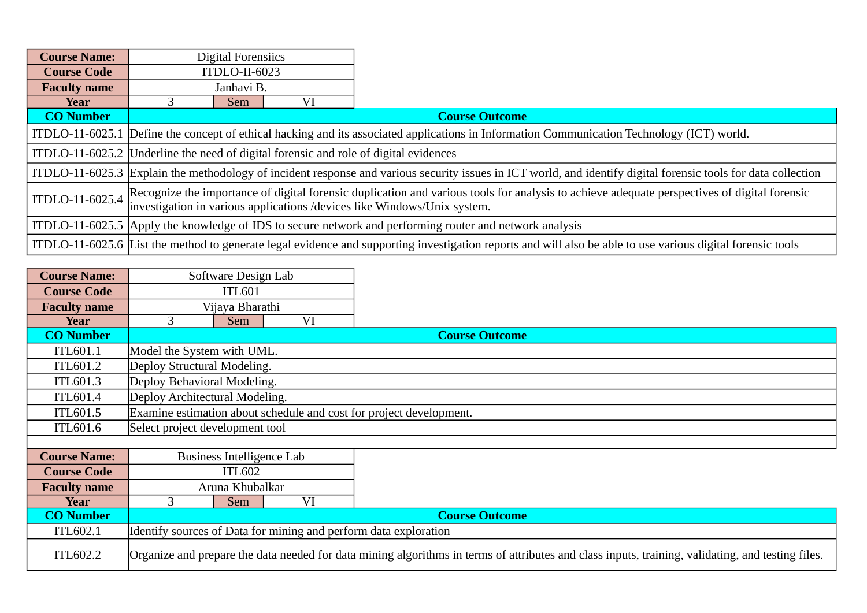| <b>Course Name:</b> |                                                                                                                                            | <b>Digital Forensiics</b>                                                                                                                                                                                                     |    |                                                                                                                                                             |  |  |  |  |  |
|---------------------|--------------------------------------------------------------------------------------------------------------------------------------------|-------------------------------------------------------------------------------------------------------------------------------------------------------------------------------------------------------------------------------|----|-------------------------------------------------------------------------------------------------------------------------------------------------------------|--|--|--|--|--|
| <b>Course Code</b>  |                                                                                                                                            | ITDLO-II-6023                                                                                                                                                                                                                 |    |                                                                                                                                                             |  |  |  |  |  |
| <b>Faculty name</b> |                                                                                                                                            | Janhavi B.                                                                                                                                                                                                                    |    |                                                                                                                                                             |  |  |  |  |  |
| Year                |                                                                                                                                            | Sem                                                                                                                                                                                                                           | VI |                                                                                                                                                             |  |  |  |  |  |
| <b>CO Number</b>    |                                                                                                                                            |                                                                                                                                                                                                                               |    | <b>Course Outcome</b>                                                                                                                                       |  |  |  |  |  |
|                     | ITDLO-11-6025.1 Define the concept of ethical hacking and its associated applications in Information Communication Technology (ICT) world. |                                                                                                                                                                                                                               |    |                                                                                                                                                             |  |  |  |  |  |
|                     |                                                                                                                                            |                                                                                                                                                                                                                               |    | ITDLO-11-6025.2 Underline the need of digital forensic and role of digital evidences                                                                        |  |  |  |  |  |
|                     |                                                                                                                                            | ITDLO-11-6025.3 Explain the methodology of incident response and various security issues in ICT world, and identify digital forensic tools for data collection                                                                |    |                                                                                                                                                             |  |  |  |  |  |
|                     |                                                                                                                                            | ITDLO-11-6025.4 Recognize the importance of digital forensic duplication and various tools for analysis to achieve adequate perspectives of digital forensic investigation in various applications /devices like Windows/Unix |    |                                                                                                                                                             |  |  |  |  |  |
|                     |                                                                                                                                            |                                                                                                                                                                                                                               |    | ITDLO-11-6025.5 Apply the knowledge of IDS to secure network and performing router and network analysis                                                     |  |  |  |  |  |
|                     |                                                                                                                                            |                                                                                                                                                                                                                               |    | ITDLO-11-6025.6 List the method to generate legal evidence and supporting investigation reports and will also be able to use various digital forensic tools |  |  |  |  |  |

| <b>Course Name:</b> |                                 | Software Design Lab       |    |                                                                                                                                                   |
|---------------------|---------------------------------|---------------------------|----|---------------------------------------------------------------------------------------------------------------------------------------------------|
| <b>Course Code</b>  |                                 | <b>ITL601</b>             |    |                                                                                                                                                   |
| <b>Faculty name</b> |                                 | Vijaya Bharathi           |    |                                                                                                                                                   |
| Year                | 3<br>VI<br>Sem                  |                           |    |                                                                                                                                                   |
| <b>CO Number</b>    |                                 |                           |    | <b>Course Outcome</b>                                                                                                                             |
| <b>ITL601.1</b>     | Model the System with UML.      |                           |    |                                                                                                                                                   |
| ITL601.2            | Deploy Structural Modeling.     |                           |    |                                                                                                                                                   |
| ITL601.3            | Deploy Behavioral Modeling.     |                           |    |                                                                                                                                                   |
| ITL601.4            | Deploy Architectural Modeling.  |                           |    |                                                                                                                                                   |
| ITL601.5            |                                 |                           |    | Examine estimation about schedule and cost for project development.                                                                               |
| <b>ITL601.6</b>     | Select project development tool |                           |    |                                                                                                                                                   |
|                     |                                 |                           |    |                                                                                                                                                   |
| <b>Course Name:</b> |                                 | Business Intelligence Lab |    |                                                                                                                                                   |
| <b>Course Code</b>  |                                 | <b>ITL602</b>             |    |                                                                                                                                                   |
| <b>Faculty name</b> |                                 | Aruna Khubalkar           |    |                                                                                                                                                   |
| Year                | 3                               | <b>Sem</b>                | VI |                                                                                                                                                   |
| <b>CO Number</b>    |                                 |                           |    | <b>Course Outcome</b>                                                                                                                             |
| <b>ITL602.1</b>     |                                 |                           |    | Identify sources of Data for mining and perform data exploration                                                                                  |
| ITL602.2            |                                 |                           |    | Organize and prepare the data needed for data mining algorithms in terms of attributes and class inputs, training, validating, and testing files. |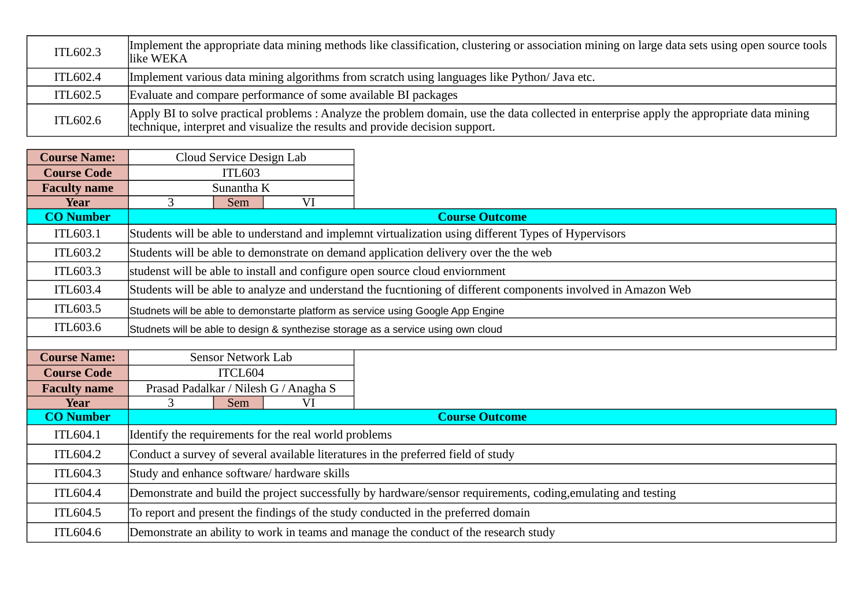| ITL602.3        | Implement the appropriate data mining methods like classification, clustering or association mining on large data sets using open source tools<br>llike WEKA                                                             |
|-----------------|--------------------------------------------------------------------------------------------------------------------------------------------------------------------------------------------------------------------------|
| ITL602.4        | Implement various data mining algorithms from scratch using languages like Python/ Java etc.                                                                                                                             |
| <b>ITL602.5</b> | Evaluate and compare performance of some available BI packages                                                                                                                                                           |
| ITL602.6        | Apply BI to solve practical problems: Analyze the problem domain, use the data collected in enterprise apply the appropriate data mining<br>technique, interpret and visualize the results and provide decision support. |

| <b>Course Name:</b> |            | Cloud Service Design Lab                                                                                      |                                       |                                                                                                                |  |  |  |
|---------------------|------------|---------------------------------------------------------------------------------------------------------------|---------------------------------------|----------------------------------------------------------------------------------------------------------------|--|--|--|
| <b>Course Code</b>  |            | <b>ITL603</b>                                                                                                 |                                       |                                                                                                                |  |  |  |
| <b>Faculty name</b> | Sunantha K |                                                                                                               |                                       |                                                                                                                |  |  |  |
| Year                | 3          | <b>Sem</b>                                                                                                    | VI                                    |                                                                                                                |  |  |  |
| <b>CO Number</b>    |            |                                                                                                               |                                       | <b>Course Outcome</b>                                                                                          |  |  |  |
| ITL603.1            |            |                                                                                                               |                                       | Students will be able to understand and implemnt virtualization using different Types of Hypervisors           |  |  |  |
| ITL603.2            |            |                                                                                                               |                                       | Students will be able to demonstrate on demand application delivery over the the web                           |  |  |  |
| <b>ITL603.3</b>     |            |                                                                                                               |                                       | studenst will be able to install and configure open source cloud enviornment                                   |  |  |  |
| ITL603.4            |            |                                                                                                               |                                       | Students will be able to analyze and understand the fucntioning of different components involved in Amazon Web |  |  |  |
| ITL603.5            |            |                                                                                                               |                                       | Studnets will be able to demonstarte platform as service using Google App Engine                               |  |  |  |
| ITL603.6            |            | Studnets will be able to design & synthezise storage as a service using own cloud                             |                                       |                                                                                                                |  |  |  |
|                     |            |                                                                                                               |                                       |                                                                                                                |  |  |  |
| <b>Course Name:</b> |            | <b>Sensor Network Lab</b>                                                                                     |                                       |                                                                                                                |  |  |  |
| <b>Course Code</b>  | ITCL604    |                                                                                                               |                                       |                                                                                                                |  |  |  |
| <b>Faculty name</b> |            |                                                                                                               | Prasad Padalkar / Nilesh G / Anagha S |                                                                                                                |  |  |  |
| <b>Year</b>         | 3          | <b>Sem</b>                                                                                                    | VI                                    |                                                                                                                |  |  |  |
| <b>CO Number</b>    |            |                                                                                                               |                                       | <b>Course Outcome</b>                                                                                          |  |  |  |
| <b>ITL604.1</b>     |            | Identify the requirements for the real world problems                                                         |                                       |                                                                                                                |  |  |  |
| ITL604.2            |            | Conduct a survey of several available literatures in the preferred field of study                             |                                       |                                                                                                                |  |  |  |
| ITL604.3            |            | Study and enhance software/ hardware skills                                                                   |                                       |                                                                                                                |  |  |  |
| ITL604.4            |            | Demonstrate and build the project successfully by hardware/sensor requirements, coding, emulating and testing |                                       |                                                                                                                |  |  |  |
| ITL604.5            |            |                                                                                                               |                                       | To report and present the findings of the study conducted in the preferred domain                              |  |  |  |
| <b>ITL604.6</b>     |            |                                                                                                               |                                       | Demonstrate an ability to work in teams and manage the conduct of the research study                           |  |  |  |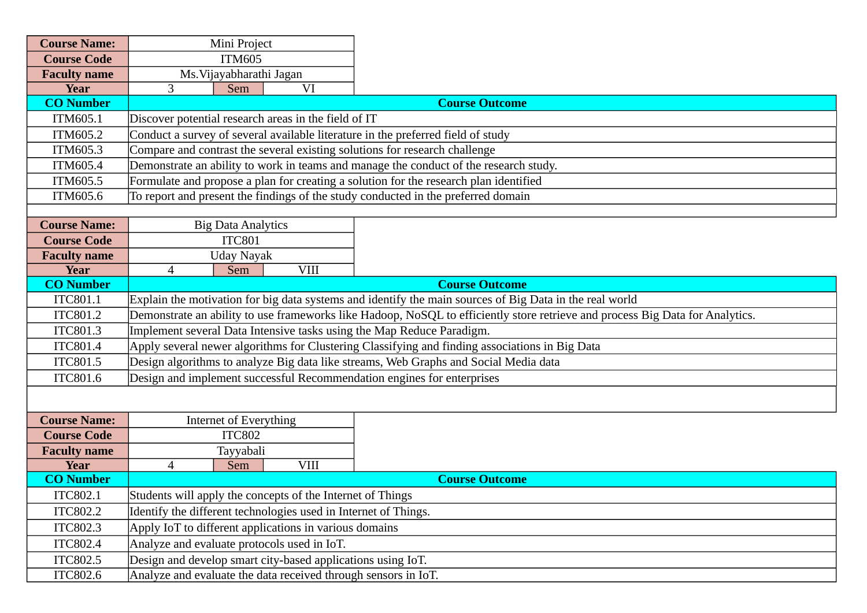| <b>Course Name:</b>             | Mini Project                                                                                                                                                                                           |             |                                                                                       |  |  |  |  |
|---------------------------------|--------------------------------------------------------------------------------------------------------------------------------------------------------------------------------------------------------|-------------|---------------------------------------------------------------------------------------|--|--|--|--|
| <b>Course Code</b>              | <b>ITM605</b>                                                                                                                                                                                          |             |                                                                                       |  |  |  |  |
| <b>Faculty name</b>             | Ms. Vijayabharathi Jagan                                                                                                                                                                               |             |                                                                                       |  |  |  |  |
| <b>Year</b>                     | 3<br>Sem                                                                                                                                                                                               | VI          |                                                                                       |  |  |  |  |
| <b>CO Number</b>                |                                                                                                                                                                                                        |             | <b>Course Outcome</b>                                                                 |  |  |  |  |
| ITM605.1                        | Discover potential research areas in the field of IT                                                                                                                                                   |             |                                                                                       |  |  |  |  |
| ITM605.2                        |                                                                                                                                                                                                        |             | Conduct a survey of several available literature in the preferred field of study      |  |  |  |  |
| ITM605.3                        |                                                                                                                                                                                                        |             | Compare and contrast the several existing solutions for research challenge            |  |  |  |  |
| ITM605.4                        |                                                                                                                                                                                                        |             | Demonstrate an ability to work in teams and manage the conduct of the research study. |  |  |  |  |
| ITM605.5                        |                                                                                                                                                                                                        |             | Formulate and propose a plan for creating a solution for the research plan identified |  |  |  |  |
| ITM605.6                        |                                                                                                                                                                                                        |             | To report and present the findings of the study conducted in the preferred domain     |  |  |  |  |
|                                 |                                                                                                                                                                                                        |             |                                                                                       |  |  |  |  |
| <b>Course Name:</b>             | <b>Big Data Analytics</b>                                                                                                                                                                              |             |                                                                                       |  |  |  |  |
| <b>Course Code</b>              | <b>ITC801</b>                                                                                                                                                                                          |             |                                                                                       |  |  |  |  |
| <b>Faculty name</b>             | <b>Uday Nayak</b>                                                                                                                                                                                      |             |                                                                                       |  |  |  |  |
| <b>Year</b><br><b>CO Number</b> | 4<br><b>Sem</b>                                                                                                                                                                                        | <b>VIII</b> | <b>Course Outcome</b>                                                                 |  |  |  |  |
| ITC801.1                        |                                                                                                                                                                                                        |             |                                                                                       |  |  |  |  |
| ITC801.2                        | $\vert$ Explain the motivation for big data systems and identify the main sources of Big Data in the real world                                                                                        |             |                                                                                       |  |  |  |  |
| <b>ITC801.3</b>                 | Demonstrate an ability to use frameworks like Hadoop, NoSQL to efficiently store retrieve and process Big Data for Analytics.<br>Implement several Data Intensive tasks using the Map Reduce Paradigm. |             |                                                                                       |  |  |  |  |
| <b>ITC801.4</b>                 | Apply several newer algorithms for Clustering Classifying and finding associations in Big Data                                                                                                         |             |                                                                                       |  |  |  |  |
| <b>ITC801.5</b>                 |                                                                                                                                                                                                        |             |                                                                                       |  |  |  |  |
| ITC801.6                        | Design algorithms to analyze Big data like streams, Web Graphs and Social Media data<br>Design and implement successful Recommendation engines for enterprises                                         |             |                                                                                       |  |  |  |  |
|                                 |                                                                                                                                                                                                        |             |                                                                                       |  |  |  |  |
|                                 |                                                                                                                                                                                                        |             |                                                                                       |  |  |  |  |
| <b>Course Name:</b>             | Internet of Everything                                                                                                                                                                                 |             |                                                                                       |  |  |  |  |
| <b>Course Code</b>              | <b>ITC802</b>                                                                                                                                                                                          |             |                                                                                       |  |  |  |  |
| <b>Faculty name</b>             | Tayyabali                                                                                                                                                                                              |             |                                                                                       |  |  |  |  |
| <b>Year</b>                     | $\overline{4}$<br><b>Sem</b>                                                                                                                                                                           | <b>VIII</b> |                                                                                       |  |  |  |  |
| <b>CO Number</b>                |                                                                                                                                                                                                        |             | <b>Course Outcome</b>                                                                 |  |  |  |  |
| ITC802.1                        | Students will apply the concepts of the Internet of Things                                                                                                                                             |             |                                                                                       |  |  |  |  |
| <b>ITC802.2</b>                 | Identify the different technologies used in Internet of Things.                                                                                                                                        |             |                                                                                       |  |  |  |  |
| <b>ITC802.3</b>                 | Apply IoT to different applications in various domains                                                                                                                                                 |             |                                                                                       |  |  |  |  |
| <b>ITC802.4</b>                 | Analyze and evaluate protocols used in IoT.                                                                                                                                                            |             |                                                                                       |  |  |  |  |
| <b>ITC802.5</b>                 | Design and develop smart city-based applications using IoT.                                                                                                                                            |             |                                                                                       |  |  |  |  |
| ITC802.6                        | Analyze and evaluate the data received through sensors in IoT.                                                                                                                                         |             |                                                                                       |  |  |  |  |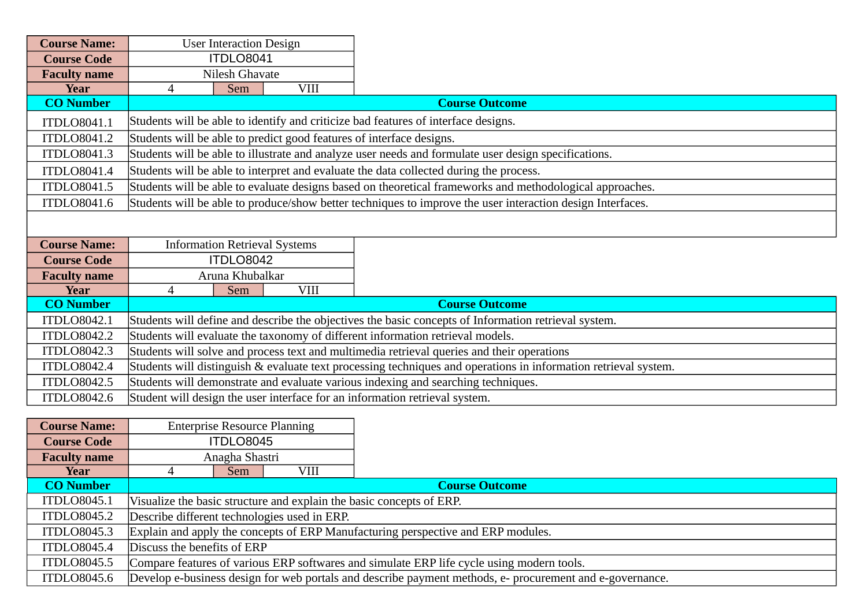| <b>Course Name:</b> | <b>User Interaction Design</b>                                                                       |                 |                                      |                                                                                                                 |  |  |
|---------------------|------------------------------------------------------------------------------------------------------|-----------------|--------------------------------------|-----------------------------------------------------------------------------------------------------------------|--|--|
| <b>Course Code</b>  |                                                                                                      | ITDLO8041       |                                      |                                                                                                                 |  |  |
| <b>Faculty name</b> |                                                                                                      | Nilesh Ghavate  |                                      |                                                                                                                 |  |  |
| <b>Year</b>         | 4                                                                                                    | Sem             | <b>VIII</b>                          |                                                                                                                 |  |  |
| <b>CO Number</b>    |                                                                                                      |                 |                                      | <b>Course Outcome</b>                                                                                           |  |  |
| <b>ITDLO8041.1</b>  |                                                                                                      |                 |                                      | Students will be able to identify and criticize bad features of interface designs.                              |  |  |
| <b>ITDLO8041.2</b>  |                                                                                                      |                 |                                      | Students will be able to predict good features of interface designs.                                            |  |  |
| <b>ITDLO8041.3</b>  |                                                                                                      |                 |                                      | Students will be able to illustrate and analyze user needs and formulate user design specifications.            |  |  |
| ITDLO8041.4         |                                                                                                      |                 |                                      | Students will be able to interpret and evaluate the data collected during the process.                          |  |  |
| <b>ITDLO8041.5</b>  |                                                                                                      |                 |                                      | Students will be able to evaluate designs based on theoretical frameworks and methodological approaches.        |  |  |
| <b>ITDLO8041.6</b>  |                                                                                                      |                 |                                      | Students will be able to produce/show better techniques to improve the user interaction design Interfaces.      |  |  |
|                     |                                                                                                      |                 |                                      |                                                                                                                 |  |  |
| <b>Course Name:</b> |                                                                                                      |                 | <b>Information Retrieval Systems</b> |                                                                                                                 |  |  |
| <b>Course Code</b>  |                                                                                                      | ITDLO8042       |                                      |                                                                                                                 |  |  |
| <b>Faculty name</b> |                                                                                                      | Aruna Khubalkar |                                      |                                                                                                                 |  |  |
| Year                | 4                                                                                                    | Sem             | <b>VIII</b>                          |                                                                                                                 |  |  |
| <b>CO Number</b>    |                                                                                                      |                 |                                      | <b>Course Outcome</b>                                                                                           |  |  |
| <b>ITDLO8042.1</b>  | Students will define and describe the objectives the basic concepts of Information retrieval system. |                 |                                      |                                                                                                                 |  |  |
| <b>ITDLO8042.2</b>  | Students will evaluate the taxonomy of different information retrieval models.                       |                 |                                      |                                                                                                                 |  |  |
| <b>ITDLO8042.3</b>  | Students will solve and process text and multimedia retrieval queries and their operations           |                 |                                      |                                                                                                                 |  |  |
| <b>ITDLO8042.4</b>  |                                                                                                      |                 |                                      | Students will distinguish & evaluate text processing techniques and operations in information retrieval system. |  |  |
| <b>ITDLO8042.5</b>  |                                                                                                      |                 |                                      | Students will demonstrate and evaluate various indexing and searching techniques.                               |  |  |
| <b>ITDLO8042.6</b>  |                                                                                                      |                 |                                      | Student will design the user interface for an information retrieval system.                                     |  |  |

| <b>Course Name:</b> |                                                                                           | <b>Enterprise Resource Planning</b>                                  |      |                                                                                                          |  |  |  |  |
|---------------------|-------------------------------------------------------------------------------------------|----------------------------------------------------------------------|------|----------------------------------------------------------------------------------------------------------|--|--|--|--|
| <b>Course Code</b>  |                                                                                           | ITDLO8045                                                            |      |                                                                                                          |  |  |  |  |
| <b>Faculty name</b> | Anagha Shastri                                                                            |                                                                      |      |                                                                                                          |  |  |  |  |
| Year                |                                                                                           | Sem                                                                  | VIII |                                                                                                          |  |  |  |  |
| <b>CO Number</b>    |                                                                                           |                                                                      |      | <b>Course Outcome</b>                                                                                    |  |  |  |  |
| ITDLO8045.1         |                                                                                           | Visualize the basic structure and explain the basic concepts of ERP. |      |                                                                                                          |  |  |  |  |
| <b>ITDLO8045.2</b>  | Describe different technologies used in ERP.                                              |                                                                      |      |                                                                                                          |  |  |  |  |
| <b>ITDLO8045.3</b>  | Explain and apply the concepts of ERP Manufacturing perspective and ERP modules.          |                                                                      |      |                                                                                                          |  |  |  |  |
| <b>ITDLO8045.4</b>  | Discuss the benefits of ERP                                                               |                                                                      |      |                                                                                                          |  |  |  |  |
| ITDLO8045.5         | Compare features of various ERP softwares and simulate ERP life cycle using modern tools. |                                                                      |      |                                                                                                          |  |  |  |  |
| ITDLO8045.6         |                                                                                           |                                                                      |      | Develop e-business design for web portals and describe payment methods, e- procurement and e-governance. |  |  |  |  |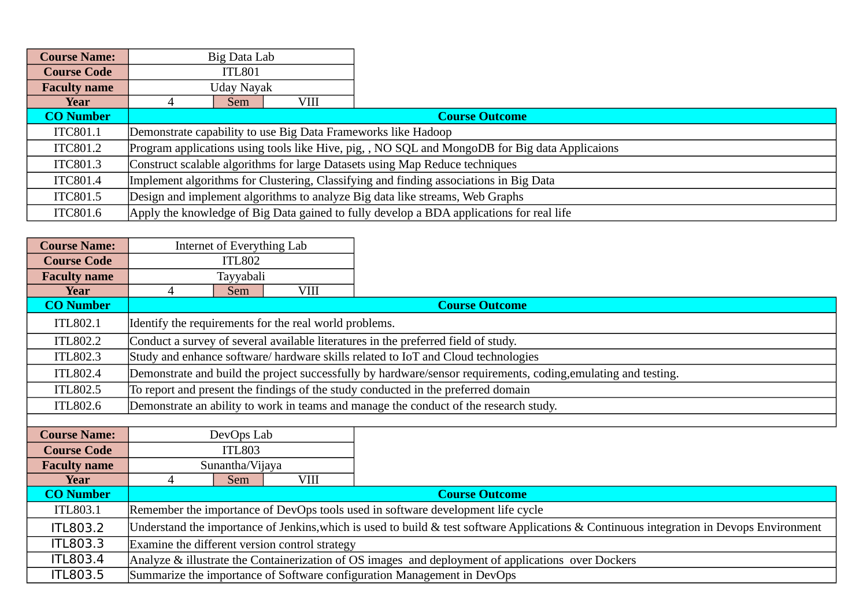| <b>Course Name:</b> |             | Big Data Lab |                                                                                       |                                                                                                |
|---------------------|-------------|--------------|---------------------------------------------------------------------------------------|------------------------------------------------------------------------------------------------|
| <b>Course Code</b>  | ITL801      |              |                                                                                       |                                                                                                |
| <b>Faculty name</b> | Uday Nayak  |              |                                                                                       |                                                                                                |
| Year                | Sem<br>VIII |              |                                                                                       |                                                                                                |
| <b>CO Number</b>    |             |              |                                                                                       | <b>Course Outcome</b>                                                                          |
| ITC801.1            |             |              |                                                                                       | Demonstrate capability to use Big Data Frameworks like Hadoop                                  |
| ITC801.2            |             |              |                                                                                       | Program applications using tools like Hive, pig, , NO SQL and MongoDB for Big data Applicaions |
| <b>ITC801.3</b>     |             |              |                                                                                       | Construct scalable algorithms for large Datasets using Map Reduce techniques                   |
| <b>ITC801.4</b>     |             |              | Implement algorithms for Clustering, Classifying and finding associations in Big Data |                                                                                                |
| ITC801.5            |             |              |                                                                                       | Design and implement algorithms to analyze Big data like streams, Web Graphs                   |
| <b>ITC801.6</b>     |             |              |                                                                                       | Apply the knowledge of Big Data gained to fully develop a BDA applications for real life       |

| <b>Course Name:</b> |                                                                                                                                          | Internet of Everything Lab |                                                        |                                                                                                                |  |  |  |
|---------------------|------------------------------------------------------------------------------------------------------------------------------------------|----------------------------|--------------------------------------------------------|----------------------------------------------------------------------------------------------------------------|--|--|--|
| <b>Course Code</b>  |                                                                                                                                          | <b>ITL802</b>              |                                                        |                                                                                                                |  |  |  |
| <b>Faculty name</b> | Tayyabali                                                                                                                                |                            |                                                        |                                                                                                                |  |  |  |
| Year                | 4                                                                                                                                        | Sem                        | <b>VIII</b>                                            |                                                                                                                |  |  |  |
| <b>CO Number</b>    |                                                                                                                                          |                            |                                                        | <b>Course Outcome</b>                                                                                          |  |  |  |
| ITL802.1            |                                                                                                                                          |                            | Identify the requirements for the real world problems. |                                                                                                                |  |  |  |
| ITL802.2            |                                                                                                                                          |                            |                                                        | Conduct a survey of several available literatures in the preferred field of study.                             |  |  |  |
| <b>ITL802.3</b>     |                                                                                                                                          |                            |                                                        | Study and enhance software/hardware skills related to IoT and Cloud technologies                               |  |  |  |
| <b>ITL802.4</b>     |                                                                                                                                          |                            |                                                        | Demonstrate and build the project successfully by hardware/sensor requirements, coding, emulating and testing. |  |  |  |
| ITL802.5            |                                                                                                                                          |                            |                                                        | To report and present the findings of the study conducted in the preferred domain                              |  |  |  |
| ITL802.6            |                                                                                                                                          |                            |                                                        | Demonstrate an ability to work in teams and manage the conduct of the research study.                          |  |  |  |
|                     |                                                                                                                                          |                            |                                                        |                                                                                                                |  |  |  |
| <b>Course Name:</b> |                                                                                                                                          | DevOps Lab                 |                                                        |                                                                                                                |  |  |  |
| <b>Course Code</b>  |                                                                                                                                          | <b>ITL803</b>              |                                                        |                                                                                                                |  |  |  |
| <b>Faculty name</b> |                                                                                                                                          | Sunantha/Vijaya            |                                                        |                                                                                                                |  |  |  |
| Year                | 4                                                                                                                                        | <b>Sem</b>                 | <b>VIII</b>                                            |                                                                                                                |  |  |  |
| <b>CO Number</b>    |                                                                                                                                          | <b>Course Outcome</b>      |                                                        |                                                                                                                |  |  |  |
| ITL803.1            | Remember the importance of DevOps tools used in software development life cycle                                                          |                            |                                                        |                                                                                                                |  |  |  |
| <b>ITL803.2</b>     | Understand the importance of Jenkins, which is used to build & test software Applications & Continuous integration in Devops Environment |                            |                                                        |                                                                                                                |  |  |  |
| <b>ITL803.3</b>     |                                                                                                                                          |                            | Examine the different version control strategy         |                                                                                                                |  |  |  |
| <b>ITL803.4</b>     |                                                                                                                                          |                            |                                                        | Analyze & illustrate the Containerization of OS images and deployment of applications over Dockers             |  |  |  |
| <b>ITL803.5</b>     |                                                                                                                                          |                            |                                                        | Summarize the importance of Software configuration Management in DevOps                                        |  |  |  |